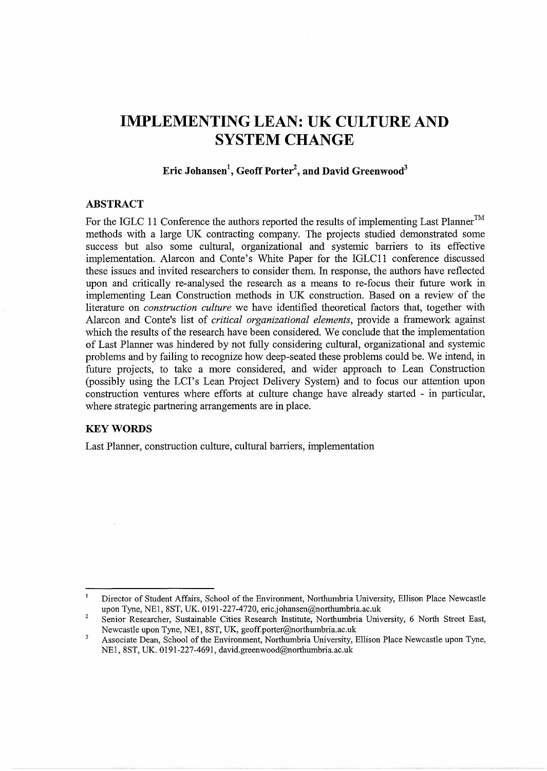# **IMPLEMENTING LEAN: UK CULTURE AND SYSTEM CHANGE**

## **Eric J ohansen<sup>1</sup> , Geoff Porter<sup>2</sup> , and David Greenwood3**

## **ABSTRACT**

For the IGLC 11 Conference the authors reported the results of implementing Last Planner™ methods with a large UK contracting company. The projects studied demonstrated some success but also some cultural, organizational and systemic barriers to its effective implementation. Alarcon and Conte's White Paper for the IGLC11 conference discussed these issues and invited researchers to consider them. In response, the authors have reflected upon and critically re-analysed the research as a means to re-focus their future work in implementing Lean Construction methods in UK construction. Based on a review of the literature on *construction culture* we have identified theoretical factors that, together with Alarcon and Conte's list of *critical organizational elements,* provide a framework against which the results of the research have been considered. We conclude that the implementation of Last Planner was hindered by not fully considering cultural, organizational and systemic problems and by failing to recognize how deep-seated these problems could be. We intend, in future projects, to take a more considered, and wider approach to Lean Construction (possibly using the LCI's Lean Project Delivery System) and to focus our attention upon construction ventures where efforts at culture change have already started - in particular, where strategic partnering arrangements are in place.

## **KEYWORDS**

Last Planner, construction culture, cultural barriers, implementation

 $\mathbf{1}$ Director of Student Affairs, School of the Environment, Northumbria University, Ellison Place Newcastle upon Tyne, NEl, 8ST, UK. 0191-227-4720, eric.johansen@northumbria.ac.uk

<sup>2</sup>  Senior Researcher, Sustainable Cities Research Institute, Northumbria University, 6 North Street East, Newcastle upon Tyne, NEl, 8ST, UK, geoff.porter@northumbria.ac.uk

 $\overline{\mathbf{3}}$ Associate Dean, School of the Environment, Northumbria University, Ellison Place Newcastle upon Tyne, NE1, 8ST, UK. 0191-227-4691, david.greenwood@northumbria.ac.uk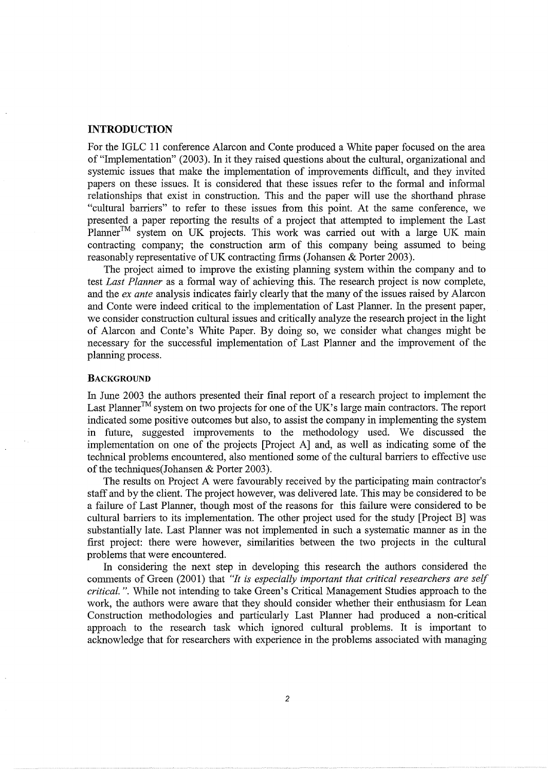#### **INTRODUCTION**

For the IGLC 11 conference Alarcon and Conte produced a White paper focused on the area of "Implementation" (2003). In it they raised questions about the cultural, organizational and systemic issues that make the implementation of improvements difficult, and they invited papers on these issues. It is considered that these issues refer to the formal and informal relationships that exist in construction. This and the paper will use the shorthand phrase "cultural barriers" to refer to these issues from this point. At the same conference, we presented a paper reporting the results of a project that attempted to implement the Last Planner<sup>™</sup> system on UK projects. This work was carried out with a large UK main contracting company; the construction arm of this company being assumed to being reasonably representative of UK contracting firms (Johansen & Porter 2003).

The project aimed to improve the existing planning system within the company and to test *Last Planner* as a formal way of achieving this. The research project is now complete, and the *ex ante* analysis indicates fairly clearly that the many of the issues raised by Alarcon and Conte were indeed critical to the implementation of Last Planner. In the present paper, we consider construction cultural issues and critically analyze the research project in the light of Alarcon and Conte's White Paper. By doing so, we consider what changes might be necessary for the successful implementation of Last Planner and the improvement of the planning process.

#### **BACKGROUND**

In June 2003 the authors presented their final report of a research project to implement the Last Planner<sup>™</sup> system on two projects for one of the UK's large main contractors. The report indicated some positive outcomes but also, to assist the company in implementing the system in future, suggested improvements to the methodology used. We discussed the implementation on one of the projects [Project A] and, as well as indicating some of the technical problems encountered, also mentioned some of the cultural barriers to effective use of the techniques(Johansen & Porter 2003).

The results on Project A were favourably received by the participating main contractor's staff and by the client. The project however, was delivered late. This may be considered to be a failure of Last Planner, though most of the reasons for this failure were considered to be cultural barriers to its implementation. The other project used for the study [Project B] was substantially late. Last Planner was not implemented in such a systematic manner as in the first project: there were however, similarities between the two projects in the cultural problems that were encountered.

In considering the next step in developing this research the authors considered the comments of Green (2001) that *"It is especially important that critical researchers are self critical.".* While not intending to take Green's Critical Management Studies approach to the work, the authors were aware that they should consider whether their enthusiasm for Lean Construction methodologies and particularly Last Planner had produced a non-critical approach to the research task which ignored cultural problems. It is important to acknowledge that for researchers with experience in the problems associated with managing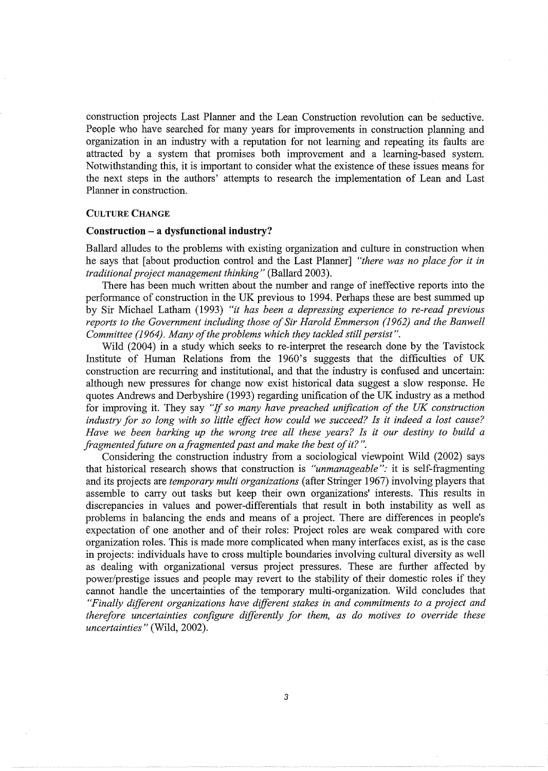construction projects Last Planner and the Lean Construction revolution can be seductive. People who have searched for many years for improvements in construction planning and organization in an industry with a reputation for not learning and repeating its faults are attracted by a system that promises both improvement and a learning-based system. Notwithstanding this, it is important to consider what the existence of these issues means for the next steps in the authors' attempts to research the implementation of Lean and Last Planner in construction.

#### CULTURE CHANGE

## **Construction** - a **dysfunctional industry?**

Ballard alludes to the problems with existing organization and culture in construction when he says that [about production control and the Last Planner] *"there was no place for it in traditional project management thinking"* (Ballard 2003).

There has been much written about the number and range of ineffective reports into the performance of construction in the UK previous to 1994. Perhaps these are best summed up by Sir Michael Latham (1993) *"it has been a depressing experience to re-read previous reports to the Government including those of Sir Harold Emmerson (1962) and the Banwell Committee (1964). Many of the problems which they tackled still persist".* 

Wild (2004) in a study which seeks to re-interpret the research done by the Tavistock Institute of Human Relations from the 1960's suggests that the difficulties of UK construction are recurring and institutional, and that the industry is confused and uncertain: although new pressures for change now exist historical data suggest a slow response. He quotes Andrews and Derbyshire (1993) regarding unification of the UK industry as a method for improving it. They say "If *so many have preached unification of the UK construction industry for so long with so little effect how could we succeed? Is it indeed a lost cause? Have we been barking up the wrong tree all these years? Is it our destiny to build a fragmented future on a fragmented past and make the best of it?* ".

Considering the construction industry from a sociological viewpoint Wild (2002) says that historical research shows that construction is *"unmanageable":* it is self-fragmenting and its projects are *temporary multi organizations* (after Stringer 1967) involving players that assemble to carry out tasks but keep their own organizations' interests. This results in discrepancies in values and power-differentials that result in both instability as well as problems in balancing the ends and means of a project. There are differences in people's expectation of one another and of their roles: Project roles are weak compared with core organization roles. This is made more complicated when many interfaces exist, as is the case in projects: individuals have to cross multiple boundaries involving cultural diversity as well as dealing with organizational versus project pressures. These are further affected by power/prestige issues and people may revert to the stability of their domestic roles if they cannot handle the uncertainties of the temporary multi-organization. Wild concludes that *"Finally different organizations have different stakes in and commitments to a project and therefore uncertainties configure differently for them, as do motives to override these uncertainties"* (Wild, 2002).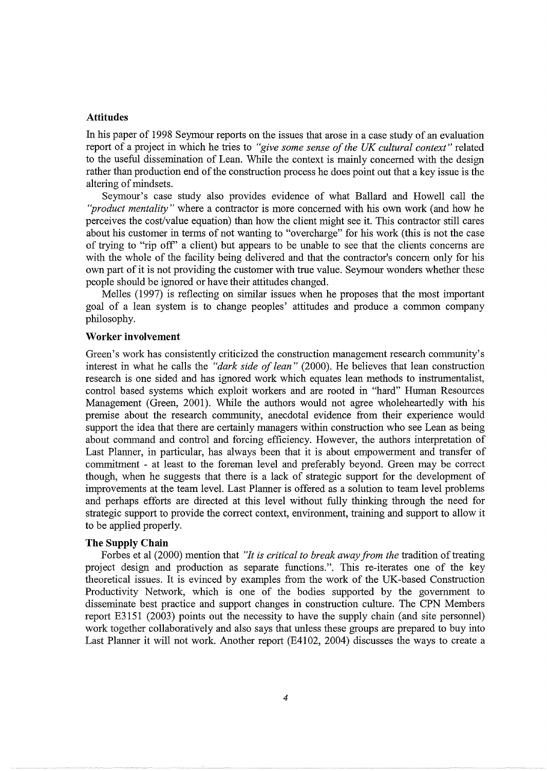## **Attitudes**

In his paper of 1998 Seymour reports on the issues that arose in a case study of an evaluation report of a project in which he tries to *"give some sense of the UK cultural context"* related to the useful dissemination of Lean. While the context is mainly concerned with the design rather than production end of the construction process he does point out that a key issue is the altering of mindsets.

Seymour's case study also provides evidence of what Ballard and Howell call the *"product mentality* " where a contractor is more concerned with his own work (and how he perceives the cost/value equation) than how the client might see it. This contractor still cares about his customer in terms of not wanting to "overcharge" for his work (this is not the case of trying to "rip off' a client) but appears to be unable to see that the clients concerns are with the whole of the facility being delivered and that the contractor's concern only for his own part of it is not providing the customer with true value. Seymour wonders whether these people should be ignored or have their attitudes changed.

Melles (1997) is reflecting on similar issues when he proposes that the most important goal of a lean system is to change peoples' attitudes and produce a common company philosophy.

#### **Worker involvement**

Green's work has consistently criticized the construction management research community's interest in what he calls the *"dark side of lean"* (2000). He believes that lean construction research is one sided and has ignored work which equates lean methods to instrumentalist, control based systems which exploit workers and are rooted in "hard" Human Resources Management (Green, 2001). While the authors would not agree wholeheartedly with his premise about the research community, anecdotal evidence from their experience would support the idea that there are certainly managers within construction who see Lean as being about command and control and forcing efficiency. However, the authors interpretation of Last Planner, in particular, has always been that it is about empowerment and transfer of commitment - at least to the foreman level and preferably beyond. Green may be correct though, when he suggests that there is a lack of strategic support for the development of improvements at the team level. Last Planner is offered as a solution to team level problems and perhaps efforts are directed at this level without fully thinking through the need for strategic support to provide the correct context, environment, training and support to allow it to be applied properly.

#### **The Supply Chain**

Forbes et al (2000) mention that *"It is critical to break away from the* tradition of treating project design and production as separate functions.". This re-iterates one of the key theoretical issues. It is evinced by examples from the work of the UK-based Construction Productivity Network, which is one of the bodies supported by the government to disseminate best practice and support changes in construction culture. The CPN Members report E3151 (2003) points out the necessity to have the supply chain (and site personnel) work together collaboratively and also says that unless these groups are prepared to buy into Last Planner it will not work. Another report (E4102, 2004) discusses the ways to create a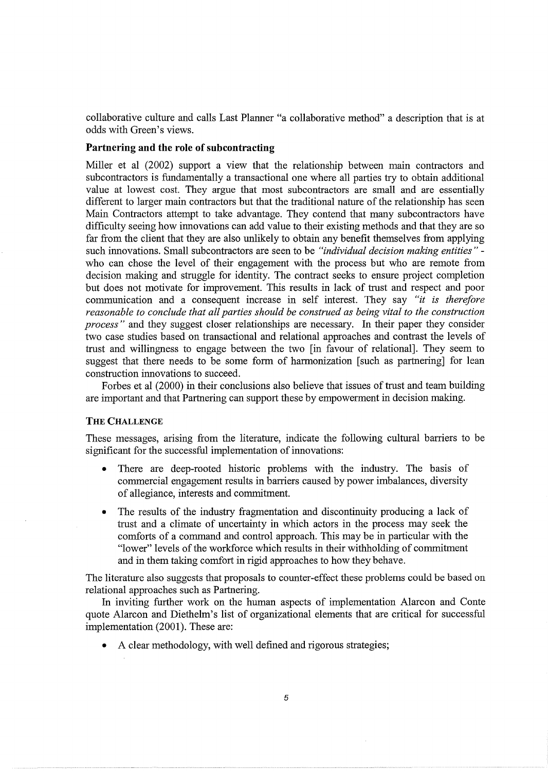collaborative culture and calls Last Planner "a collaborative method" a description that is at odds with Green's views.

## **Partnering and the role of subcontracting**

Miller et al (2002) support a view that the relationship between main contractors and subcontractors is fundamentally a transactional one where all parties try to obtain additional value at lowest cost. They argue that most subcontractors are small and are essentially different to larger main contractors but that the traditional nature of the relationship has seen Main Contractors attempt to take advantage. They contend that many subcontractors have difficulty seeing how innovations can add value to their existing methods and that they are so far from the client that they are also unlikely to obtain any benefit themselves from applying such innovations. Small subcontractors are seen to be *"individual decision making entities* " who can chose the level of their engagement with the process but who are remote from decision making and struggle for identity. The contract seeks to ensure project completion but does not motivate for improvement. This results in lack of trust and respect and poor communication and a consequent increase in self interest. They say *"it is therefore reasonable to conclude that all parties should be construed as being vital to the construction process"* and they suggest closer relationships are necessary. In their paper they consider two case studies based on transactional and relational approaches and contrast the levels of trust and willingness to engage between the two [in favour of relational]. They seem to suggest that there needs to be some form of harmonization [such as partnering] for lean construction innovations to succeed.

Forbes et al (2000) in their conclusions also believe that issues of trust and team building are important and that Partnering can support these by empowerment in decision making.

## **THE** CHALLENGE

These messages, arising from the literature, indicate the following cultural barriers to be significant for the successful implementation of innovations:

- There are deep-rooted historic problems with the industry. The basis of commercial engagement results in barriers caused by power imbalances, diversity of allegiance, interests and commitment.
- The results of the industry fragmentation and discontinuity producing a lack of trust and a climate of uncertainty in which actors in the process may seek the comforts of a command and control approach. This may be in particular with the "lower" levels of the workforce which results in their withholding of commitment and in them taking comfort in rigid approaches to how they behave.

The literature also suggests that proposals to counter-effect these problems could be based on relational approaches such as Partnering.

In inviting further work on the human aspects of implementation Alarcon and Conte quote Alarcon and Diethelm's list of organizational elements that are critical for successful implementation (2001). These are:

• A clear methodology, with well defined and rigorous strategies;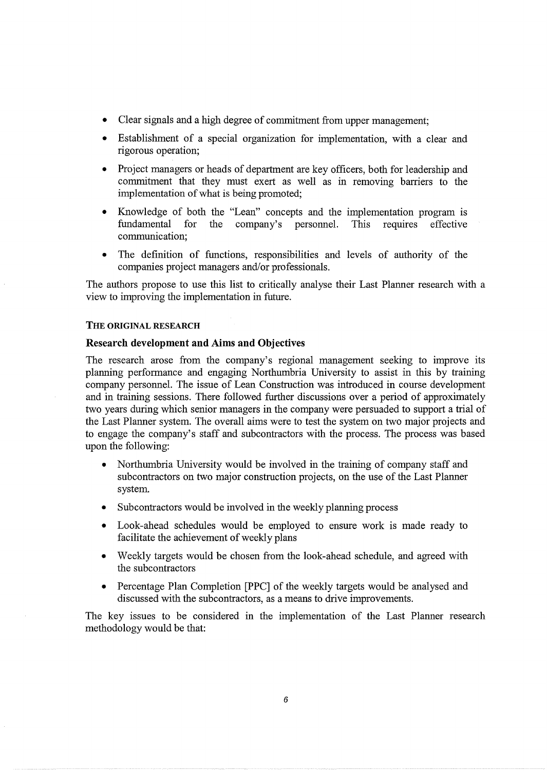- Clear signals and a high degree of commitment from upper management;
- Establishment of a special organization for implementation, with a clear and rigorous operation;
- Project managers or heads of department are key officers, both for leadership and commitment that they must exert as well as in removing barriers to the implementation of what is being promoted;
- Knowledge of both the "Lean" concepts and the implementation program is fundamental for the company's personnel. This requires effective for the company's personnel. This requires effective communication;
- The definition of functions, responsibilities and levels of authority of the companies project managers and/or professionals.

The authors propose to use this list to critically analyse their Last Planner research with a view to improving the implementation in future.

## THE ORIGINAL RESEARCH

## Research development and Aims and Objectives

The research arose from the company's regional management seeking to improve its planning performance and engaging Northumbria University to assist in this by training company personnel. The issue of Lean Construction was introduced in course development and in training sessions. There followed further discussions over a period of approximately two years during which senior managers in the company were persuaded to support a trial of the Last Planner system. The overall aims were to test the system on two major projects and to engage the company's staff and subcontractors with the process. The process was based upon the following:

- Northumbria University would be involved in the training of company staff and subcontractors on two major construction projects, on the use of the Last Planner system.
- Subcontractors would be involved in the weekly planning process
- Look-ahead schedules would be employed to ensure work is made ready to facilitate the achievement of weekly plans
- Weekly targets would be chosen from the look-ahead schedule, and agreed with the subcontractors
- Percentage Plan Completion [PPC] of the weekly targets would be analysed and discussed with the subcontractors, as a means to drive improvements.

The key issues to be considered in the implementation of the Last Planner research methodology would be that: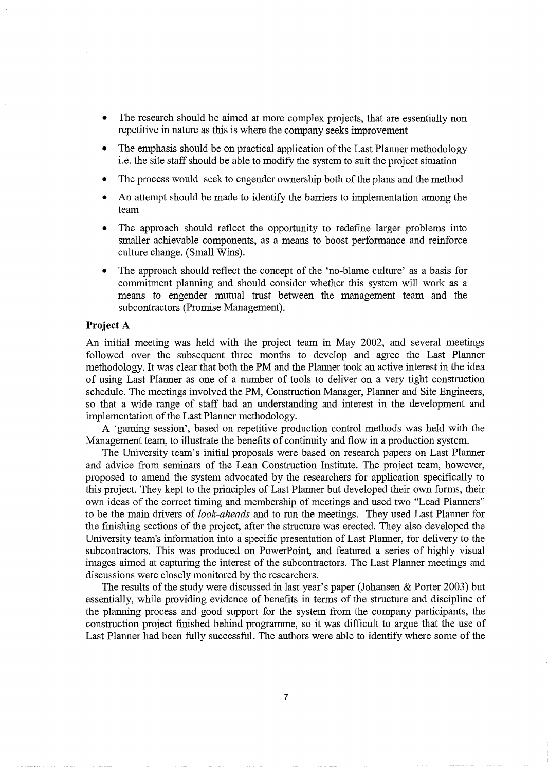- The research should be aimed at more complex projects, that are essentially non repetitive in nature as this is where the company seeks improvement
- The emphasis should be on practical application of the Last Planner methodology i.e. the site staff should be able to modify the system to suit the project situation
- The process would seek to engender ownership both of the plans and the method
- An attempt should be made to identify the barriers to implementation among the team
- The approach should reflect the opportunity to redefine larger problems into smaller achievable components, as a means to boost performance and reinforce culture change. (Small Wins).
- The approach should reflect the concept of the 'no-blame culture' as a basis for commitment planning and should consider whether this system will work as a means to engender mutual trust between the management team and the subcontractors (Promise Management).

## **Project** A

An initial meeting was held with the project team in May 2002, and several meetings followed over the subsequent three months to develop and agree the Last Planner methodology. It was clear that both the PM and the Planner took an active interest in the idea of using Last Planner as one of a number of tools to deliver on a very tight construction schedule. The meetings involved the PM, Construction Manager, Planner and Site Engineers, so that a wide range of staff had an understanding and interest in the development and implementation of the Last Planner methodology.

A 'gaming session', based on repetitive production control methods was held with the Management team, to illustrate the benefits of continuity and flow in a production system.

The University team's initial proposals were based on research papers on Last Planner and advice from seminars of the Lean Construction Institute. The project team, however, proposed to amend the system advocated by the researchers for application specifically to this project. They kept to the principles of Last Planner but developed their own forms, their own ideas of the correct timing and membership of meetings and used two "Lead Planners" to be the main drivers of *look-aheads* and to run the meetings. They used Last Planner for the finishing sections of the project, after the structure was erected. They also developed the University team's information into a specific presentation of Last Planner, for delivery to the subcontractors. This was produced on PowerPoint, and featured a series of highly visual images aimed at capturing the interest of the subcontractors. The Last Planner meetings and discussions were closely monitored by the researchers.

The results of the study were discussed in last year's paper (Johansen & Porter 2003) but essentially, while providing evidence of benefits in terms of the structure and discipline of the planning process and good support for the system from the company participants, the construction project finished behind programme, so it was difficult to argue that the use of Last Planner had been fully successful. The authors were able to identify where some of the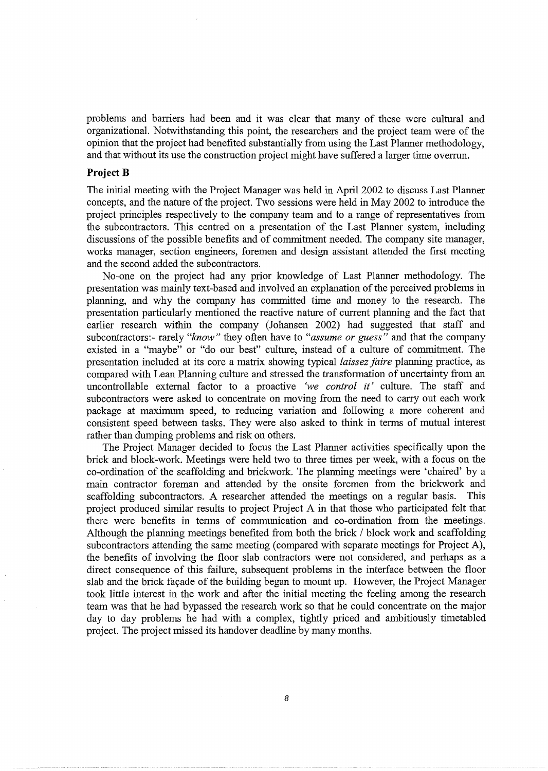problems and barriers had been and it was clear that many of these were cultural and organizational. Notwithstanding this point, the researchers and the project team were of the opinion that the project had benefited substantially from using the Last Planner methodology, and that without its use the construction project might have suffered a larger time overrun.

#### **Project B**

The initial meeting with the Project Manager was held in April 2002 to discuss Last Planner concepts, and the nature of the project. Two sessions were held in May 2002 to introduce the project principles respectively to the company team and to a range of representatives from the subcontractors. This centred on a presentation of the Last Planner system, including discussions of the possible benefits and of commitment needed. The company site manager, works manager, section engineers, foremen and design assistant attended the first meeting and the second added the subcontractors.

No-one on the project had any prior knowledge of Last Planner methodology. The presentation was mainly text-based and involved an explanation of the perceived problems in planning, and why the company has committed time and money to the research. The presentation particularly mentioned the reactive nature of current planning and the fact that earlier research within the company (Johansen 2002) had suggested that staff and subcontractors:- rarely *"know"* they often have to *"assume or guess"* and that the company existed in a "maybe" or "do our best" culture, instead of a culture of commitment. The presentation included at its core a matrix showing typical *laissez faire* planning practice, as compared with Lean Planning culture and stressed the transformation of uncertainty from an uncontrollable external factor to a proactive *'we control it'* culture. The staff and subcontractors were asked to concentrate on moving from the need to carry out each work package at maximum speed, to reducing variation and following a more coherent and consistent speed between tasks. They were also asked to think in terms of mutual interest rather than dumping problems and risk on others.

The Project Manager decided to focus the Last Planner activities specifically upon the brick and block-work. Meetings were held two to three times per week, with a focus on the co-ordination of the scaffolding and brickwork. The planning meetings were 'chaired' by a main contractor foreman and attended by the onsite foremen from the brickwork and scaffolding subcontractors. A researcher attended the meetings on a regular basis. This project produced similar results to project Project A in that those who participated felt that there were benefits in terms of communication and co-ordination from the meetings. Although the planning meetings benefited from both the brick / block work and scaffolding subcontractors attending the same meeting (compared with separate meetings for Project A), the benefits of involving the floor slab contractors were not considered, and perhaps as a direct consequence of this failure, subsequent problems in the interface between the floor slab and the brick façade of the building began to mount up. However, the Project Manager took little interest in the work and after the initial meeting the feeling among the research team was that he had bypassed the research work so that he could concentrate on the major day to day problems he had with a complex, tightly priced and ambitiously timetabled project. The project missed its handover deadline by many months.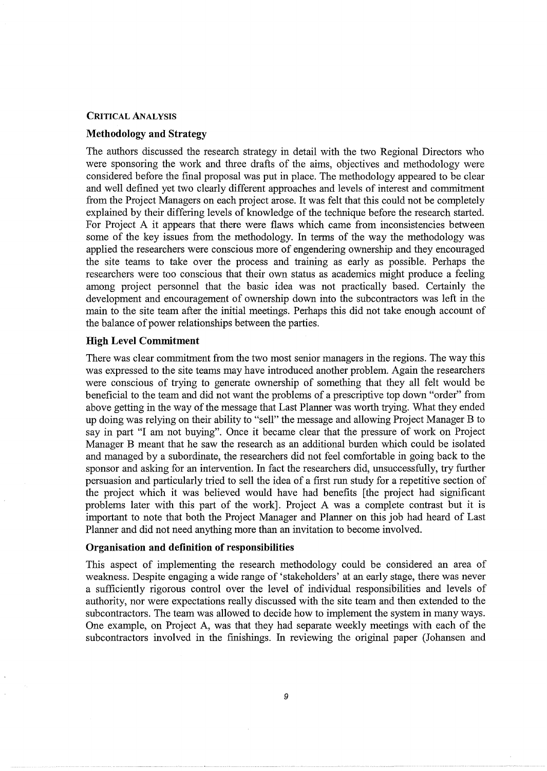#### **CRITICAL** ANALYSIS

## **Methodology and Strategy**

The authors discussed the research strategy in detail with the two Regional Directors who were sponsoring the work and three drafts of the aims, objectives and methodology were considered before the final proposal was put in place. The methodology appeared to be clear and well defined yet two clearly different approaches and levels of interest and commitment from the Project Managers on each project arose. It was felt that this could not be completely explained by their differing levels of knowledge of the technique before the research started. For Project A it appears that there were flaws which came from inconsistencies between some of the key issues from the methodology. In terms of the way the methodology was applied the researchers were conscious more of engendering ownership and they encouraged the site teams to take over the process and training as early as possible. Perhaps the researchers were too conscious that their own status as academics might produce a feeling among project personnel that the basic idea was not practically based. Certainly the development and encouragement of ownership down into the subcontractors was left in the main to the site team after the initial meetings. Perhaps this did not take enough account of the balance of power relationships between the parties.

## **High Level Commitment**

There was clear commitment from the two most senior managers in the regions. The way this was expressed to the site teams may have introduced another problem. Again the researchers were conscious of trying to generate ownership of something that they all felt would be beneficial to the team and did not want the problems of a prescriptive top down "order" from above getting in the way of the message that Last Planner was worth trying. What they ended up doing was relying on their ability to "sell" the message and allowing Project Manager B to say in part "I am not buying". Once it became clear that the pressure of work on Project Manager B meant that he saw the research as an additional burden which could be isolated and managed by a subordinate, the researchers did not feel comfortable in going back to the sponsor and asking for an intervention. In fact the researchers did, unsuccessfully, try further persuasion and particularly tried to sell the idea of a first run study for a repetitive section of the project which it was believed would have had benefits [the project had significant problems later with this part of the work]. Project A was a complete contrast but it is important to note that both the Project Manager and Planner on this job had heard of Last Planner and did not need anything more than an invitation to become involved.

#### **Organisation and definition of responsibilities**

This aspect of implementing the research methodology could be considered an area of weakness. Despite engaging a wide range of 'stakeholders' at an early stage, there was never a sufficiently rigorous control over the level of individual responsibilities and levels of authority, nor were expectations really discussed with the site team and then extended to the subcontractors. The team was allowed to decide how to implement the system in many ways. One example, on Project A, was that they had separate weekly meetings with each of the subcontractors involved in the finishings. In reviewing the original paper (Johansen and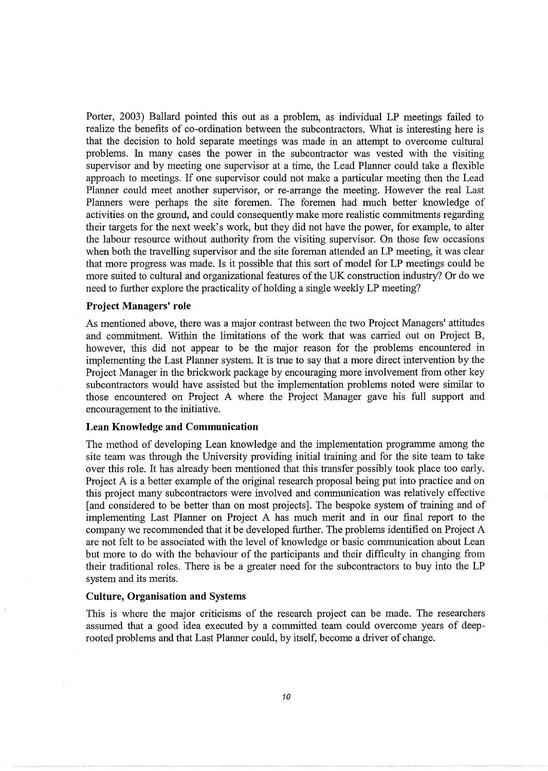Porter, 2003) Ballard pointed this out as a problem, as individual LP meetings failed to realize the benefits of co-ordination between the subcontractors. What is interesting here is that the decision to hold separate meetings was made in an attempt to overcome cultural problems. In many cases the power in the subcontractor was vested with the visiting supervisor and by meeting one supervisor at a time, the Lead Planner could take a flexible approach to meetings. If one supervisor could not make a particular meeting then the Lead Planner could meet another supervisor, or re-arrange the meeting. However the real Last Planners were perhaps the site foremen. The foremen had much better knowledge of activities on the ground, and could consequently make more realistic commitments regarding their targets for the next week's work, but they did not have the power, for example, to alter the labour resource without authority from the visiting supervisor. On those few occasions when both the travelling supervisor and the site foreman attended an LP meeting, it was clear that more progress was made. Is it possible that this sort of model for LP meetings could be more suited to cultural and organizational features of the UK construction industry? Or do we need to further explore the practicality of holding a single weekly LP meeting?

#### **Project Managers' role**

As mentioned above, there was a major contrast between the two Project Managers' attitudes and commitment. Within the limitations of the work that was carried out on Project B, however, this did not appear to be the major reason for the problems encountered in implementing the Last Planner system. It is true to say that a more direct intervention by the Project Manager in the brickwork package by encouraging more involvement from other key subcontractors would have assisted but the implementation problems noted were similar to those encountered on Project A where the Project Manager gave his full support and encouragement to the initiative.

#### **Lean Knowledge and Communication**

The method of developing Lean knowledge and the implementation programme among the site team was through the University providing initial training and for the site team to take over this role. It has already been mentioned that this transfer possibly took place too early. Project A is a better example of the original research proposal being put into practice and on this project many subcontractors were involved and communication was relatively effective [and considered to be better than on most projects]. The bespoke system of training and of implementing Last Planner on Project A has much merit and in our final report to the company we recommended that it be developed further. The problems identified on Project A are not felt to be associated with the level of knowledge or basic communication about Lean but more to do with the behaviour of the participants and their difficulty in changing from their traditional roles. There is be a greater need for the subcontractors to buy into the LP system and its merits.

#### **Culture, Organisation and Systems**

This is where the major criticisms of the research project can be made. The researchers assumed that a good idea executed by a committed team could overcome years of deeprooted problems and that Last Planner could, by itself, become a driver of change.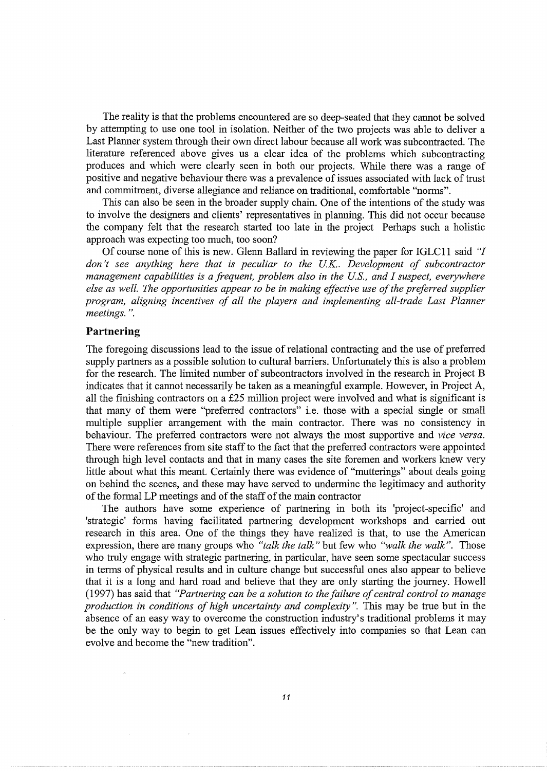The reality is that the problems encountered are so deep-seated that they cannot be solved by attempting to use one tool in isolation. Neither of the two projects was able to deliver a Last Planner system through their own direct labour because all work was subcontracted. The literature referenced above gives us a clear idea of the problems which subcontracting produces and which were clearly seen in both our projects. While there was a range of positive and negative behaviour there was a prevalence of issues associated with lack of trust and commitment, diverse allegiance and reliance on traditional, comfortable "norms".

This can also be seen in the broader supply chain. One of the intentions of the study was to involve the designers and clients' representatives in planning. This did not occur because the company felt that the research started too late in the project Perhaps such a holistic approach was expecting too much, too soon?

Of course none of this is new. Glenn Ballard in reviewing the paper for IGLCll said "/ *don't see anything here that is peculiar to the UK.. Development of subcontractor management capabilities is a frequent, problem also in the US., and I suspect, everywhere else as well. The opportunities appear to be in making effective use of the preferred supplier program, aligning incentives of all the players and implementing all-trade Last Planner meetings.* ".

## **Partnering**

The foregoing discussions lead to the issue of relational contracting and the use of preferred supply partners as a possible solution to cultural barriers. Unfortunately this is also a problem for the research. The limited number of subcontractors involved in the research in Project B indicates that it cannot necessarily be taken as a meaningful example. However, in Project A, all the finishing contractors on a £25 million project were involved and what is significant is that many of them were "preferred contractors" i.e. those with a special single or small multiple supplier arrangement with the main contractor. There was no consistency in behaviour. The preferred contractors were not always the most supportive and *vice versa.*  There were references from site staff to the fact that the preferred contractors were appointed through high level contacts and that in many cases the site foremen and workers knew very little about what this meant. Certainly there was evidence of "mutterings" about deals going on behind the scenes, and these may have served to undermine the legitimacy and authority of the formal LP meetings and of the staff of the main contractor

The authors have some experience of partnering in both its 'project-specific' and 'strategic' forms having facilitated partnering development workshops and carried out research in this area. One of the things they have realized is that, to use the American expression, there are many groups who *"talk the talk"* but few who *"walk the walk".* Those who truly engage with strategic partnering, in particular, have seen some spectacular success in terms of physical results and in culture change but successful ones also appear to believe that it is a long and hard road and believe that they are only starting the journey. Howell (1997) has said that *"Partnering can be a solution to the failure of central control to manage production in conditions of high uncertainty and complexity* ". This may be true but in the absence of an easy way to overcome the construction industry's traditional problems it may be the only way to begin to get Lean issues effectively into companies so that Lean can evolve and become the "new tradition".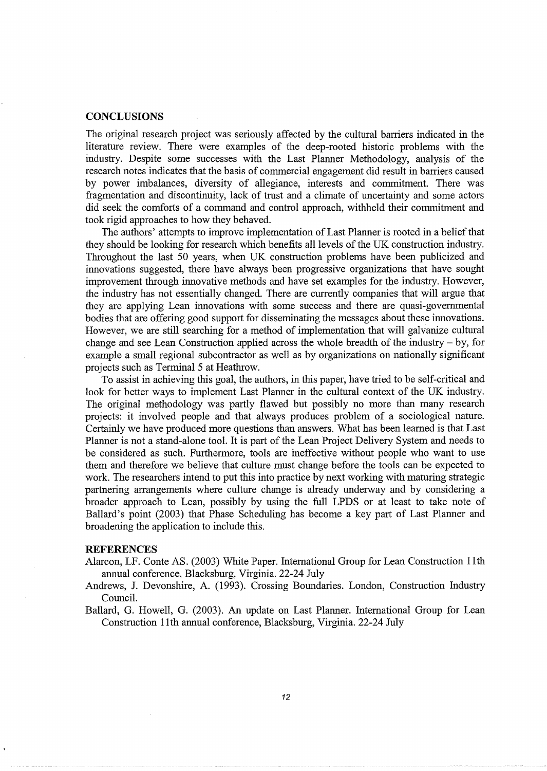#### **CONCLUSIONS**

The original research project was seriously affected by the cultural barriers indicated in the literature review. There were examples of the deep-rooted historic problems with the industry. Despite some successes with the Last Planner Methodology, analysis of the research notes indicates that the basis of commercial engagement did result in barriers caused by power imbalances, diversity of allegiance, interests and commitment. There was fragmentation and discontinuity, lack of trust and a climate of uncertainty and some actors did seek the comforts of a command and control approach, withheld their commitment and took rigid approaches to how they behaved.

The authors' attempts to improve implementation of Last Planner is rooted in a belief that they should be looking for research which benefits all levels of the UK construction industry. Throughout the last 50 years, when UK construction problems have been publicized and innovations suggested, there have always been progressive organizations that have sought improvement through innovative methods and have set examples for the industry. However, the industry has not essentially changed. There are currently companies that will argue that they are applying Lean innovations with some success and there are quasi-governmental bodies that are offering good support for disseminating the messages about these innovations. However, we are still searching for a method of implementation that will galvanize cultural change and see Lean Construction applied across the whole breadth of the industry - by, for example a small regional subcontractor as well as by organizations on nationally significant projects such as Terminal 5 at Heathrow.

To assist in achieving this goal, the authors, in this paper, have tried to be self-critical and look for better ways to implement Last Planner in the cultural context of the UK industry. The original methodology was partly flawed but possibly no more than many research projects: it involved people and that always produces problem of a sociological nature. Certainly we have produced more questions than answers. What has been learned is that Last Planner is not a stand-alone tool. It is part of the Lean Project Delivery System and needs to be considered as such. Furthermore, tools are ineffective without people who want to use them and therefore we believe that culture must change before the tools can be expected to work. The researchers intend to put this into practice by next working with maturing strategic partnering arrangements where culture change is already underway and by considering a broader approach to Lean, possibly by using the full LPDS or at least to take note of Ballard's point (2003) that Phase Scheduling has become a key part of Last Planner and broadening the application to include this.

## **REFERENCES**

- Alarcon, LF. Conte AS. (2003) White Paper. International Group for Lean Construction 11th annual conference, Blacksburg, Virginia. 22-24 July
- Andrews, J. Devonshire, A. (1993). Crossing Boundaries. London, Construction Industry Council.
- Ballard, G. Howell, G. (2003). An update on Last Planner. International Group for Lean Construction 11th annual conference, Blacksburg, Virginia. 22-24 July